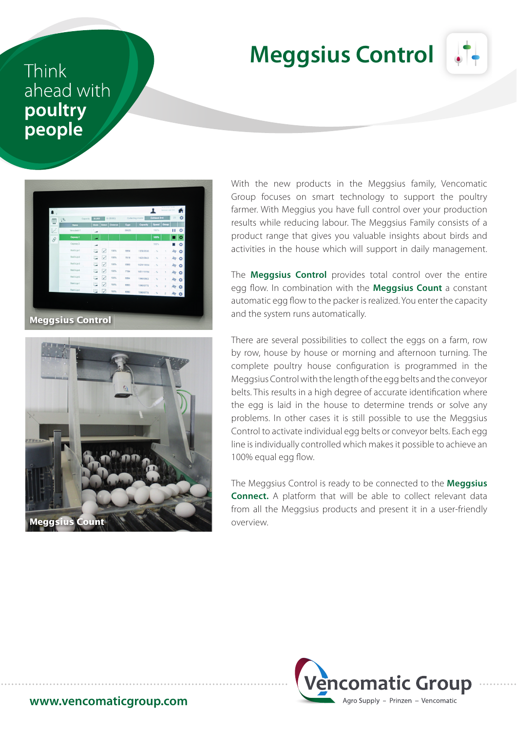## **Meggsius Control**



## Think ahead with poultry people





With the new products in the Meggsius family, Vencomatic Group focuses on smart technology to support the poultry farmer. With Meggius you have full control over your production results while reducing labour. The Meggsius Family consists of a product range that gives you valuable insights about birds and activities in the house which will support in daily management.

The **Meggsius Control** provides total control over the entire egg flow. In combination with the **Meggsius Count** a constant automatic egg flow to the packer is realized. You enter the capacity and the system runs automatically.

There are several possibilities to collect the eggs on a farm, row by row, house by house or morning and afternoon turning. The complete poultry house configuration is programmed in the Meggsius Control with the length of the egg belts and the conveyor belts. This results in a high degree of accurate identification where the egg is laid in the house to determine trends or solve any problems. In other cases it is still possible to use the Meggsius Control to activate individual egg belts or conveyor belts. Each egg line is individually controlled which makes it possible to achieve an 100% equal egg flow.

The Meggsius Control is ready to be connected to the **Meggsius Connect.** A platform that will be able to collect relevant data from all the Meggsius products and present it in a user-friendly overview.